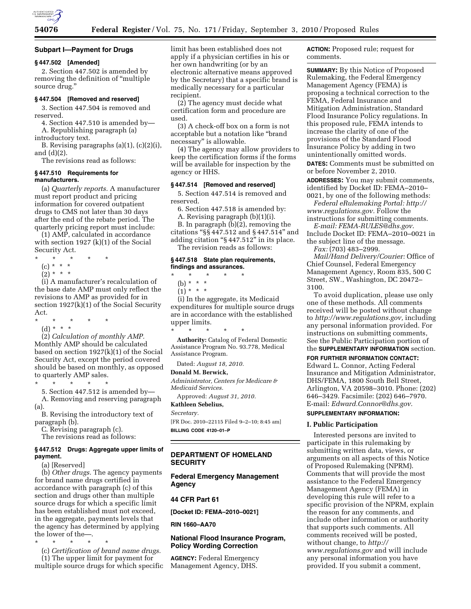

#### **Subpart I—Payment for Drugs**

# **§ 447.502 [Amended]**

2. Section 447.502 is amended by removing the definition of ''multiple source drug.''

#### **§ 447.504 [Removed and reserved]**

3. Section 447.504 is removed and reserved.

4. Section 447.510 is amended by— A. Republishing paragraph (a)

introductory text.

B. Revising paragraphs (a)(1), (c)(2)(i), and (d)(2).

The revisions read as follows:

# **§ 447.510 Requirements for manufacturers.**

(a) *Quarterly reports.* A manufacturer must report product and pricing information for covered outpatient drugs to CMS not later than 30 days after the end of the rebate period. The quarterly pricing report must include:

(1) AMP, calculated in accordance with section 1927 (k)(1) of the Social Security Act.

\* \* \* \* \* (c) \* \* \*

 $(2)^* * * *$ 

(i) A manufacturer's recalculation of the base date AMP must only reflect the revisions to AMP as provided for in section 1927(k)(1) of the Social Security Act.

\* \* \* \* \*

(d) \* \* \*

(2) *Calculation of monthly AMP.*  Monthly AMP should be calculated based on section 1927(k)(1) of the Social Security Act, except the period covered should be based on monthly, as opposed to quarterly AMP sales.

\* \* \* \* \* 5. Section 447.512 is amended by— A. Removing and reserving paragraph (a).

B. Revising the introductory text of paragraph (b).

C. Revising paragraph (c).

The revisions read as follows:

## **§ 447.512 Drugs: Aggregate upper limits of payment.**

(a) [Reserved]

(b) *Other drugs.* The agency payments for brand name drugs certified in accordance with paragraph (c) of this section and drugs other than multiple source drugs for which a specific limit has been established must not exceed, in the aggregate, payments levels that the agency has determined by applying the lower of the—.

\* \* \* \* \*

(c) *Certification of brand name drugs.*  (1) The upper limit for payment for

multiple source drugs for which specific

limit has been established does not apply if a physician certifies in his or her own handwriting (or by an electronic alternative means approved by the Secretary) that a specific brand is medically necessary for a particular recipient.

(2) The agency must decide what certification form and procedure are used.

(3) A check-off box on a form is not acceptable but a notation like ''brand necessary'' is allowable.

(4) The agency may allow providers to keep the certification forms if the forms will be available for inspection by the agency or HHS.

# **§ 447.514 [Removed and reserved]**

5. Section 447.514 is removed and reserved.

6. Section 447.518 is amended by:

A. Revising paragraph (b)(1)(i).

B. In paragraph (b)(2), removing the citations ''§§ 447.512 and § 447.514'' and adding citation ''§ 447.512'' in its place.

The revision reads as follows:

## **§ 447.518 State plan requirements, findings and assurances.**

- \* \* \* \* \*
- (b) \* \* \*

 $(1) * * * *$ 

(i) In the aggregate, its Medicaid expenditures for multiple source drugs are in accordance with the established upper limits.

\* \* \* \* \* **Authority:** Catalog of Federal Domestic Assistance Program No. 93.778, Medical Assistance Program.

Dated: *August 18, 2010.* 

#### **Donald M. Berwick,**

*Administrator, Centers for Medicare & Medicaid Services.* 

Approved: *August 31, 2010.*  **Kathleen Sebelius,** 

#### *Secretary.*

[FR Doc. 2010–22115 Filed 9–2–10; 8:45 am] **BILLING CODE 4120–01–P** 

# **DEPARTMENT OF HOMELAND SECURITY**

**Federal Emergency Management Agency** 

# **44 CFR Part 61**

**[Docket ID: FEMA–2010–0021]** 

**RIN 1660–AA70** 

# **National Flood Insurance Program, Policy Wording Correction**

**AGENCY:** Federal Emergency Management Agency, DHS.

**ACTION:** Proposed rule; request for comments.

**SUMMARY:** By this Notice of Proposed Rulemaking, the Federal Emergency Management Agency (FEMA) is proposing a technical correction to the FEMA, Federal Insurance and Mitigation Administration, Standard Flood Insurance Policy regulations. In this proposed rule, FEMA intends to increase the clarity of one of the provisions of the Standard Flood Insurance Policy by adding in two unintentionally omitted words.

**DATES:** Comments must be submitted on or before November 2, 2010.

**ADDRESSES:** You may submit comments, identified by Docket ID: FEMA–2010– 0021, by one of the following methods:

*Federal eRulemaking Portal: [http://](http://www.regulations.gov)  [www.regulations.gov.](http://www.regulations.gov)* Follow the

instructions for submitting comments. *E-mail: [FEMA-RULES@dhs.gov](mailto:FEMA-RULES@dhs.gov)*.

Include Docket ID: FEMA–2010–0021 in the subject line of the message. *Fax:* (703) 483–2999.

*Mail/Hand Delivery/Courier:* Office of Chief Counsel, Federal Emergency Management Agency, Room 835, 500 C Street, SW., Washington, DC 20472– 3100.

To avoid duplication, please use only one of these methods. All comments received will be posted without change to *[http://www.regulations.gov,](http://www.regulations.gov)* including any personal information provided. For instructions on submitting comments, See the Public Participation portion of the **SUPPLEMENTARY INFORMATION** section.

**FOR FURTHER INFORMATION CONTACT:**  Edward L. Connor, Acting Federal Insurance and Mitigation Administrator, DHS/FEMA, 1800 South Bell Street, Arlington, VA 20598–3010. Phone: (202) 646–3429. Facsimile: (202) 646–7970. E-mail: *[Edward.Connor@dhs.gov.](mailto:Edward.Connor@dhs.gov)*  **SUPPLEMENTARY INFORMATION:** 

## **I. Public Participation**

Interested persons are invited to participate in this rulemaking by submitting written data, views, or arguments on all aspects of this Notice of Proposed Rulemaking (NPRM). Comments that will provide the most assistance to the Federal Emergency Management Agency (FEMA) in developing this rule will refer to a specific provision of the NPRM, explain the reason for any comments, and include other information or authority that supports such comments. All comments received will be posted, without change, to *[http://](http://www.regulations.gov)  [www.regulations.gov](http://www.regulations.gov)* and will include any personal information you have provided. If you submit a comment,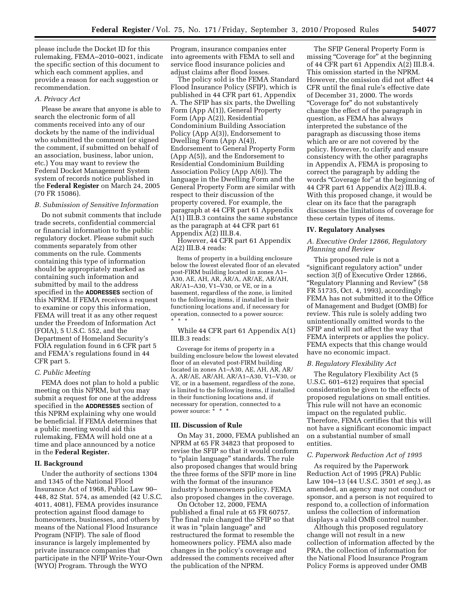please include the Docket ID for this rulemaking, FEMA–2010–0021, indicate the specific section of this document to which each comment applies, and provide a reason for each suggestion or recommendation.

#### *A. Privacy Act*

Please be aware that anyone is able to search the electronic form of all comments received into any of our dockets by the name of the individual who submitted the comment (or signed the comment, if submitted on behalf of an association, business, labor union, etc.) You may want to review the Federal Docket Management System system of records notice published in the **Federal Register** on March 24, 2005 (70 FR 15086).

#### *B. Submission of Sensitive Information*

Do not submit comments that include trade secrets, confidential commercial or financial information to the public regulatory docket. Please submit such comments separately from other comments on the rule. Comments containing this type of information should be appropriately marked as containing such information and submitted by mail to the address specified in the **ADDRESSES** section of this NPRM. If FEMA receives a request to examine or copy this information, FEMA will treat it as any other request under the Freedom of Information Act (FOIA), 5 U.S.C. 552, and the Department of Homeland Security's FOIA regulation found in 6 CFR part 5 and FEMA's regulations found in 44 CFR part 5.

#### *C. Public Meeting*

FEMA does not plan to hold a public meeting on this NPRM, but you may submit a request for one at the address specified in the **ADDRESSES** section of this NPRM explaining why one would be beneficial. If FEMA determines that a public meeting would aid this rulemaking, FEMA will hold one at a time and place announced by a notice in the **Federal Register.** 

#### **II. Background**

Under the authority of sections 1304 and 1345 of the National Flood Insurance Act of 1968, Public Law 90– 448, 82 Stat. 574, as amended (42 U.S.C. 4011, 4081), FEMA provides insurance protection against flood damage to homeowners, businesses, and others by means of the National Flood Insurance Program (NFIP). The sale of flood insurance is largely implemented by private insurance companies that participate in the NFIP Write-Your-Own (WYO) Program. Through the WYO

Program, insurance companies enter into agreements with FEMA to sell and service flood insurance policies and adjust claims after flood losses.

The policy sold is the FEMA Standard Flood Insurance Policy (SFIP), which is published in 44 CFR part 61, Appendix A. The SFIP has six parts, the Dwelling Form (App A(1)), General Property Form (App A(2)), Residential Condominium Building Association Policy (App A(3)), Endorsement to Dwelling Form (App A(4)), Endorsement to General Property Form (App A(5)), and the Endorsement to Residential Condominium Building Association Policy (App A(6)). The language in the Dwelling Form and the General Property Form are similar with respect to their discussion of the property covered. For example, the paragraph at 44 CFR part 61 Appendix A(1) III.B.3 contains the same substance as the paragraph at 44 CFR part 61 Appendix A(2) III.B.4.

However, 44 CFR part 61 Appendix A(2) III.B.4 reads:

Items of property in a building enclosure below the lowest elevated floor of an elevated post-FIRM building located in zones A1– A30, AE, AH, AR, AR/A, AR/AE, AR/AH, AR/A1–A30, V1–V30, or VE, or in a basement, regardless of the zone, is limited to the following items, if installed in their functioning locations and, if necessary for operation, connected to a power source: \* \* \*

While 44 CFR part 61 Appendix A(1) III.B.3 reads:

Coverage for items of property in a building enclosure below the lowest elevated floor of an elevated post-FIRM building located in zones A1–A30, AE, AH, AR, AR/ A, AR/AE, AR/AH, AR/A1–A30, V1–V30, or VE, or in a basement, regardless of the zone, is limited to the following items, if installed in their functioning locations and, if necessary for operation, connected to a power source: \* \* \*

## **III. Discussion of Rule**

On May 31, 2000, FEMA published an NPRM at 65 FR 34823 that proposed to revise the SFIP so that it would conform to ''plain language'' standards. The rule also proposed changes that would bring the three forms of the SFIP more in line with the format of the insurance industry's homeowners policy. FEMA also proposed changes in the coverage.

On October 12, 2000, FEMA published a final rule at 65 FR 60757. The final rule changed the SFIP so that it was in ''plain language'' and restructured the format to resemble the homeowners policy. FEMA also made changes in the policy's coverage and addressed the comments received after the publication of the NPRM.

The SFIP General Property Form is missing "Coverage for" at the beginning of 44 CFR part 61 Appendix A(2) III.B.4. This omission started in the NPRM. However, the omission did not affect 44 CFR until the final rule's effective date of December 31, 2000. The words ''Coverage for'' do not substantively change the effect of the paragraph in question, as FEMA has always interpreted the substance of the paragraph as discussing those items which are or are not covered by the policy. However, to clarify and ensure consistency with the other paragraphs in Appendix A, FEMA is proposing to correct the paragraph by adding the words "Coverage for" at the beginning of 44 CFR part 61 Appendix A(2) III.B.4. With this proposed change, it would be clear on its face that the paragraph discusses the limitations of coverage for these certain types of items.

#### **IV. Regulatory Analyses**

## *A. Executive Order 12866, Regulatory Planning and Review*

This proposed rule is not a ''significant regulatory action'' under section 3(f) of Executive Order 12866, ''Regulatory Planning and Review'' (58 FR 51735, Oct. 4, 1993), accordingly FEMA has not submitted it to the Office of Management and Budget (OMB) for review. This rule is solely adding two unintentionally omitted words to the SFIP and will not affect the way that FEMA interprets or applies the policy. FEMA expects that this change would have no economic impact.

# *B. Regulatory Flexibility Act*

The Regulatory Flexibility Act (5 U.S.C. 601-612) requires that special consideration be given to the effects of proposed regulations on small entities. This rule will not have an economic impact on the regulated public. Therefore, FEMA certifies that this will not have a significant economic impact on a substantial number of small entities.

## *C. Paperwork Reduction Act of 1995*

As required by the Paperwork Reduction Act of 1995 (PRA) Public Law 104–13 (44 U.S.C. 3501 *et seq.*), as amended, an agency may not conduct or sponsor, and a person is not required to respond to, a collection of information unless the collection of information displays a valid OMB control number.

Although this proposed regulatory change will not result in a new collection of information affected by the PRA, the collection of information for the National Flood Insurance Program Policy Forms is approved under OMB